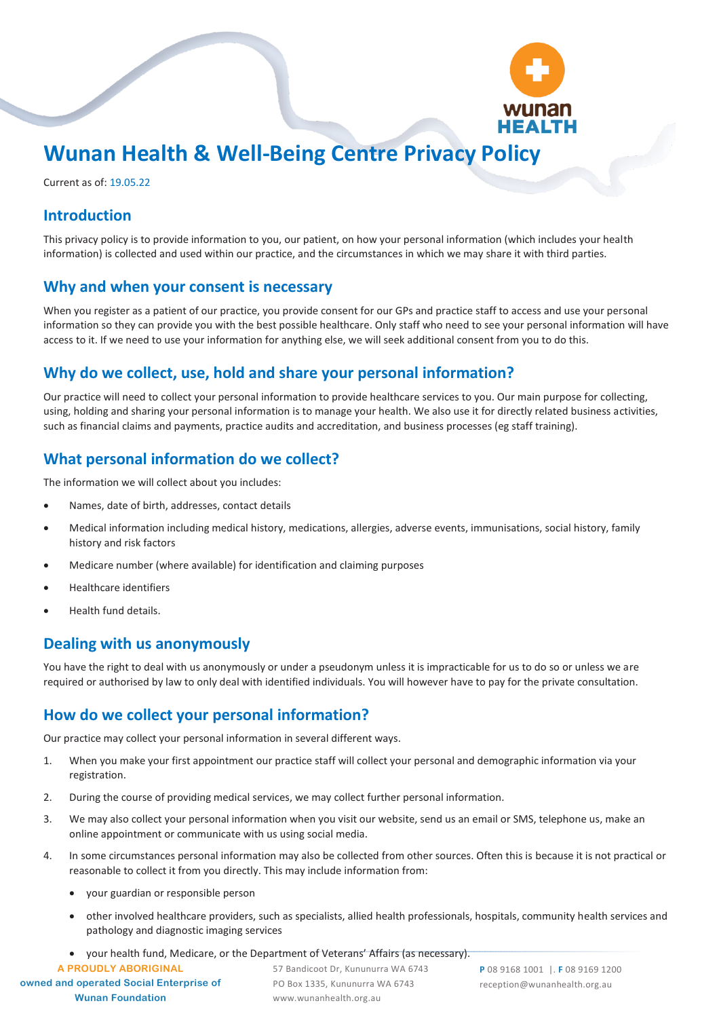

# **Wunan Health & Well-Being Centre Privacy Policy**

Current as of: 19.05.22

### **Introduction**

This privacy policy is to provide information to you, our patient, on how your personal information (which includes your health information) is collected and used within our practice, and the circumstances in which we may share it with third parties.

#### **Why and when your consent is necessary**

When you register as a patient of our practice, you provide consent for our GPs and practice staff to access and use your personal information so they can provide you with the best possible healthcare. Only staff who need to see your personal information will have access to it. If we need to use your information for anything else, we will seek additional consent from you to do this.

#### **Why do we collect, use, hold and share your personal information?**

Our practice will need to collect your personal information to provide healthcare services to you. Our main purpose for collecting, using, holding and sharing your personal information is to manage your health. We also use it for directly related business activities, such as financial claims and payments, practice audits and accreditation, and business processes (eg staff training).

#### **What personal information do we collect?**

The information we will collect about you includes:

- Names, date of birth, addresses, contact details
- Medical information including medical history, medications, allergies, adverse events, immunisations, social history, family history and risk factors
- Medicare number (where available) for identification and claiming purposes
- Healthcare identifiers
- Health fund details.

## **Dealing with us anonymously**

You have the right to deal with us anonymously or under a pseudonym unless it is impracticable for us to do so or unless we are required or authorised by law to only deal with identified individuals. You will however have to pay for the private consultation.

## **How do we collect your personal information?**

Our practice may collect your personal information in several different ways.

- 1. When you make your first appointment our practice staff will collect your personal and demographic information via your registration.
- 2. During the course of providing medical services, we may collect further personal information.
- 3. We may also collect your personal information when you visit our website, send us an email or SMS, telephone us, make an online appointment or communicate with us using social media.
- 4. In some circumstances personal information may also be collected from other sources. Often this is because it is not practical or reasonable to collect it from you directly. This may include information from:
	- your guardian or responsible person
	- other involved healthcare providers, such as specialists, allied health professionals, hospitals, community health services and pathology and diagnostic imaging services
	- your health fund, Medicare, or the Department of Veterans' Affairs (as necessary).

**A PROUDLY ABORIGINAL**

**owned and operated Social Enterprise of Wunan Foundation**

57 Bandicoot Dr, Kununurra WA 6743 PO Box 1335, Kununurra WA 6743 www.wunanhealth.org.au

**P** 08 9168 1001 |. **F** 08 9169 1200 reception@wunanhealth.org.au